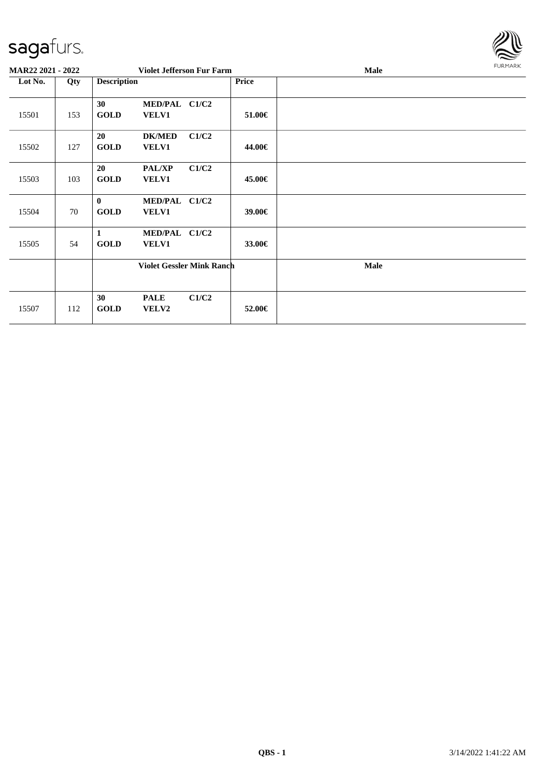

| <b>MAR22 2021 - 2022</b> |     |                         | <b>Violet Jefferson Fur Farm</b> |       |              | <b>Male</b> | FURMARK |
|--------------------------|-----|-------------------------|----------------------------------|-------|--------------|-------------|---------|
| Lot No.                  | Qty | <b>Description</b>      |                                  |       | <b>Price</b> |             |         |
| 15501                    | 153 | 30<br><b>GOLD</b>       | MED/PAL C1/C2<br><b>VELV1</b>    |       | 51.00€       |             |         |
| 15502                    | 127 | 20<br><b>GOLD</b>       | <b>DK/MED</b><br><b>VELV1</b>    | C1/C2 | 44.00€       |             |         |
| 15503                    | 103 | 20<br><b>GOLD</b>       | <b>PAL/XP</b><br><b>VELV1</b>    | C1/C2 | 45.00€       |             |         |
| 15504                    | 70  | $\bf{0}$<br><b>GOLD</b> | MED/PAL C1/C2<br><b>VELV1</b>    |       | 39.00€       |             |         |
| 15505                    | 54  | 1<br><b>GOLD</b>        | MED/PAL C1/C2<br><b>VELV1</b>    |       | 33.00€       |             |         |
|                          |     |                         | <b>Violet Gessler Mink Ranch</b> |       |              | <b>Male</b> |         |
| 15507                    | 112 | 30<br><b>GOLD</b>       | <b>PALE</b><br>VELV2             | C1/C2 | 52.00€       |             |         |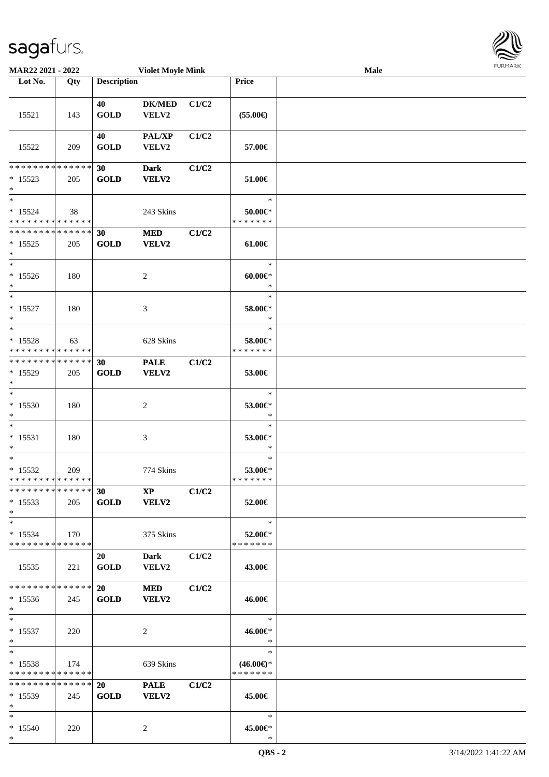| <b>MAR22 2021 - 2022</b>                                                                           |                    |                          | <b>Violet Moyle Mink</b>    |       |                                         | Male | FURMARK |
|----------------------------------------------------------------------------------------------------|--------------------|--------------------------|-----------------------------|-------|-----------------------------------------|------|---------|
| Lot No.                                                                                            | Qty                | <b>Description</b>       |                             |       | Price                                   |      |         |
| 15521                                                                                              | 143                | 40<br><b>GOLD</b>        | <b>DK/MED</b><br>VELV2      | C1/C2 | $(55.00\epsilon)$                       |      |         |
| 15522                                                                                              | 209                | 40<br><b>GOLD</b>        | PAL/XP<br>VELV2             | C1/C2 | 57.00€                                  |      |         |
| * * * * * * * *<br>$* 15523$<br>$*$                                                                | * * * * * *<br>205 | 30<br><b>GOLD</b>        | <b>Dark</b><br>VELV2        | C1/C2 | 51.00€                                  |      |         |
| $\ast$<br>$* 15524$<br>* * * * * * * * <mark>* * * * * * *</mark>                                  | 38                 |                          | 243 Skins                   |       | $\ast$<br>50.00€*<br>* * * * * * *      |      |         |
| * * * * * * * * * * * * * * *<br>$* 15525$<br>$\ast$                                               | 205                | 30<br><b>GOLD</b>        | <b>MED</b><br>VELV2         | C1/C2 | $61.00 \in$                             |      |         |
| $\ast$<br>$* 15526$<br>$\ast$<br>$*$                                                               | 180                |                          | 2                           |       | $\ast$<br>$60.00 \in$<br>$\ast$         |      |         |
| $* 15527$<br>$\ast$                                                                                | 180                |                          | 3                           |       | $\ast$<br>58.00€*<br>$\ast$             |      |         |
| $* 15528$<br>* * * * * * * * <mark>* * * * * * *</mark>                                            | 63                 |                          | 628 Skins                   |       | $\ast$<br>58.00€*<br>* * * * * * *      |      |         |
| * * * * * * * * <mark>* * * * * * *</mark><br>$*15529$<br>$\ast$                                   | 205                | 30<br><b>GOLD</b>        | <b>PALE</b><br>VELV2        | C1/C2 | 53.00€                                  |      |         |
| $*15530$<br>$\ast$                                                                                 | 180                |                          | 2                           |       | $\ast$<br>53.00€*<br>$\ast$             |      |         |
| $\ast$<br>$* 15531$<br>$\ast$                                                                      | 180                |                          | 3                           |       | $\ast$<br>53.00€*<br>$\ast$             |      |         |
| $\ast$<br>$* 15532$<br>* * * * * * * * * * * * * *  <br>* * * * * * * * * * * * * * <mark>*</mark> | 209                |                          | 774 Skins                   |       | $\ast$<br>53.00€*<br>* * * * * * *      |      |         |
| $*15533$<br>$\ast$                                                                                 | 205                | 30<br><b>GOLD</b>        | <b>XP</b><br><b>VELV2</b>   | C1/C2 | 52.00€                                  |      |         |
| $\ast$<br>$*15534$<br>* * * * * * * * <mark>* * * * * * *</mark>                                   | 170                |                          | 375 Skins                   |       | $\ast$<br>52.00€*<br>* * * * * * *      |      |         |
| 15535                                                                                              | 221                | 20<br><b>GOLD</b>        | <b>Dark</b><br>VELV2        | C1/C2 | 43.00€                                  |      |         |
| * * * * * * * * <mark>* * * * * *</mark> *<br>$*15536$<br>$\ast$                                   | 245                | <b>20</b><br><b>GOLD</b> | <b>MED</b><br><b>VELV2</b>  | C1/C2 | 46.00€                                  |      |         |
| $\ast$<br>$*15537$<br>$\ast$                                                                       | 220                |                          | 2                           |       | $\ast$<br>46.00€*<br>$\ast$             |      |         |
| $\ast$<br>$*15538$<br>* * * * * * * * <mark>* * * * * *</mark>                                     | 174                |                          | 639 Skins                   |       | $\ast$<br>$(46.00€)$ *<br>* * * * * * * |      |         |
| * * * * * * * * * * * * * * <mark>*</mark><br>$*15539$<br>$\ast$                                   | 245                | <b>20</b><br><b>GOLD</b> | <b>PALE</b><br><b>VELV2</b> | C1/C2 | 45.00€                                  |      |         |
| $\ast$<br>$*15540$<br>$\ast$                                                                       | 220                |                          | 2                           |       | $\ast$<br>45.00€*<br>$\ast$             |      |         |

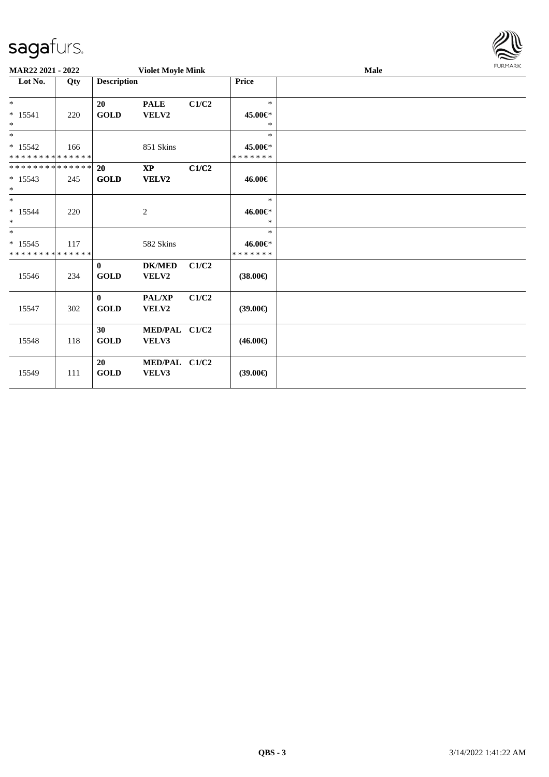| URMARK<br>F |
|-------------|

| MAR22 2021 - 2022                                 |     |                             | <b>Violet Moyle Mink</b> |       |                                    | Male | <b>FURMARK</b> |
|---------------------------------------------------|-----|-----------------------------|--------------------------|-------|------------------------------------|------|----------------|
| Lot No.                                           | Qty | <b>Description</b>          |                          |       | Price                              |      |                |
| $*$<br>$* 15541$<br>$\ast$                        | 220 | 20<br><b>GOLD</b>           | <b>PALE</b><br>VELV2     | C1/C2 | $\ast$<br>45.00€*<br>*             |      |                |
| $*$<br>$* 15542$<br>* * * * * * * * * * * * * * * | 166 |                             | 851 Skins                |       | $\ast$<br>45.00€*<br>* * * * * * * |      |                |
| ******** <mark>******</mark><br>$* 15543$<br>$*$  | 245 | <b>20</b><br><b>GOLD</b>    | $\bold{XP}$<br>VELV2     | C1/C2 | 46.00€                             |      |                |
| $*$<br>$* 15544$<br>$\ast$                        | 220 |                             | 2                        |       | $\ast$<br>46.00€*<br>$\ast$        |      |                |
| $*$<br>$* 15545$<br>* * * * * * * * * * * * * *   | 117 |                             | 582 Skins                |       | $\ast$<br>46.00€*<br>* * * * * * * |      |                |
| 15546                                             | 234 | $\mathbf{0}$<br><b>GOLD</b> | <b>DK/MED</b><br>VELV2   | C1/C2 | $(38.00\epsilon)$                  |      |                |
| 15547                                             | 302 | $\bf{0}$<br><b>GOLD</b>     | PAL/XP<br>VELV2          | C1/C2 | $(39.00\epsilon)$                  |      |                |
| 15548                                             | 118 | 30<br><b>GOLD</b>           | MED/PAL C1/C2<br>VELV3   |       | $(46.00\epsilon)$                  |      |                |
| 15549                                             | 111 | 20<br><b>GOLD</b>           | MED/PAL C1/C2<br>VELV3   |       | $(39.00\epsilon)$                  |      |                |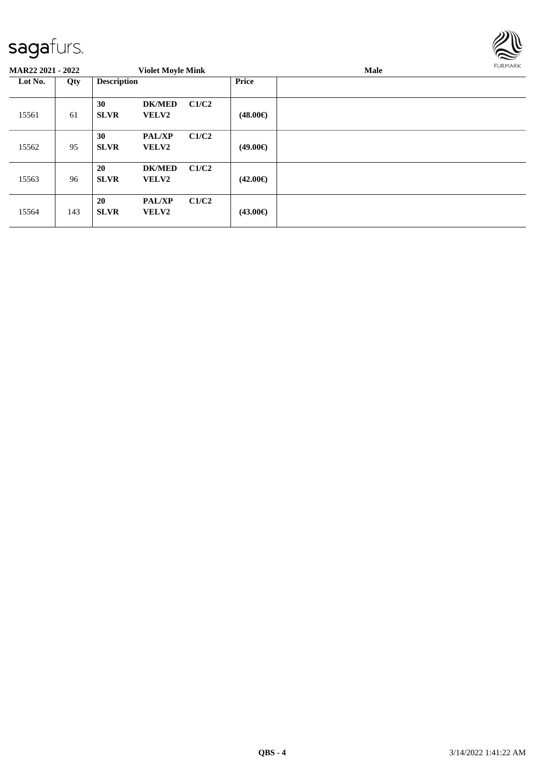

| <b>MAR22 2021 - 2022</b> |     |                    | <b>Violet Moyle Mink</b>      |       |                   | Male | <b>FURMARK</b> |
|--------------------------|-----|--------------------|-------------------------------|-------|-------------------|------|----------------|
| Lot No.<br>Qty           |     | <b>Description</b> |                               |       | <b>Price</b>      |      |                |
| 15561                    | 61  | 30<br><b>SLVR</b>  | <b>DK/MED</b><br><b>VELV2</b> | C1/C2 | $(48.00\epsilon)$ |      |                |
| 15562                    | 95  | 30<br><b>SLVR</b>  | <b>PAL/XP</b><br><b>VELV2</b> | C1/C2 | $(49.00\epsilon)$ |      |                |
| 15563                    | 96  | 20<br><b>SLVR</b>  | <b>DK/MED</b><br>VELV2        | C1/C2 | $(42.00\epsilon)$ |      |                |
| 15564                    | 143 | 20<br><b>SLVR</b>  | <b>PAL/XP</b><br>VELV2        | C1/C2 | $(43.00\epsilon)$ |      |                |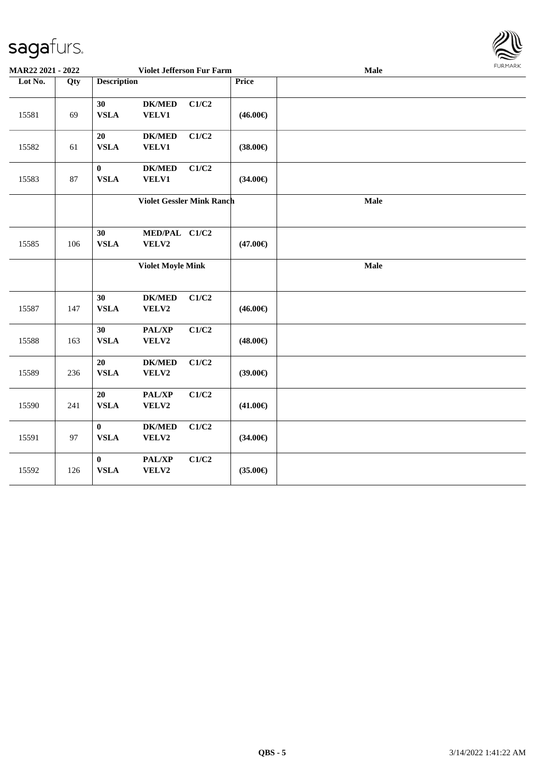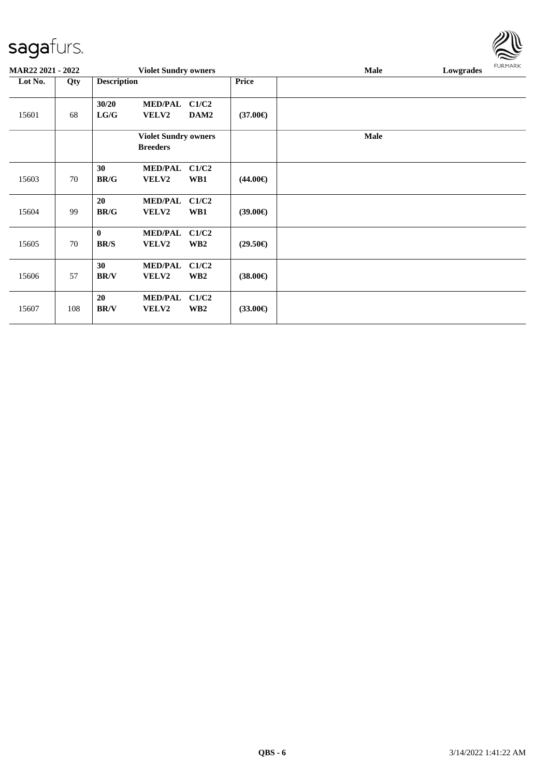| <b>MAR22 2021 - 2022</b> |     |                         | <b>Violet Sundry owners</b>                    |                          |                   | <b>Male</b> | Lowgrades | <b>FURMARK</b> |  |
|--------------------------|-----|-------------------------|------------------------------------------------|--------------------------|-------------------|-------------|-----------|----------------|--|
| Lot No.                  | Qty | <b>Description</b>      |                                                |                          | <b>Price</b>      |             |           |                |  |
| 15601                    | 68  | 30/20<br>LG/G           | <b>MED/PAL</b><br><b>VELV2</b>                 | C1/C2<br>DAM2            | $(37.00\epsilon)$ |             |           |                |  |
|                          |     |                         | <b>Violet Sundry owners</b><br><b>Breeders</b> |                          |                   | <b>Male</b> |           |                |  |
| 15603                    | 70  | 30<br><b>BR/G</b>       | <b>MED/PAL</b><br>VELV2                        | C1/C2<br>WB1             | $(44.00\epsilon)$ |             |           |                |  |
| 15604                    | 99  | 20<br><b>BR/G</b>       | <b>MED/PAL</b><br>VELV2                        | C1/C2<br>WB1             | $(39.00\epsilon)$ |             |           |                |  |
| 15605                    | 70  | $\bf{0}$<br><b>BR/S</b> | <b>MED/PAL</b><br><b>VELV2</b>                 | C1/C2<br>WB <sub>2</sub> | $(29.50\epsilon)$ |             |           |                |  |
| 15606                    | 57  | 30<br><b>BR/V</b>       | <b>MED/PAL</b><br>VELV2                        | C1/C2<br>WB <sub>2</sub> | $(38.00\epsilon)$ |             |           |                |  |
| 15607                    | 108 | 20<br><b>BR/V</b>       | <b>MED/PAL</b><br>VELV2                        | C1/C2<br>WB <sub>2</sub> | $(33.00\epsilon)$ |             |           |                |  |

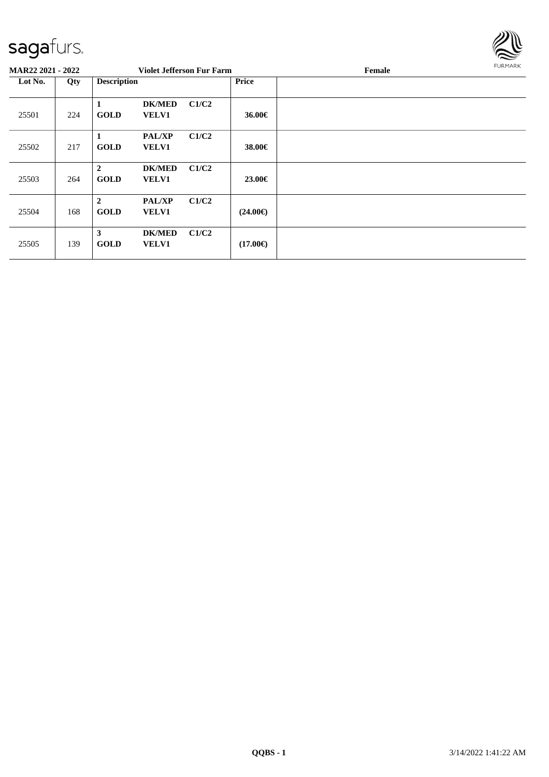

| <b>MAR22 2021 - 2022</b> |     |                               | <b>Violet Jefferson Fur Farm</b> |       |                   | Female | <b>FURMARK</b> |
|--------------------------|-----|-------------------------------|----------------------------------|-------|-------------------|--------|----------------|
| Lot No.                  | Qty | <b>Description</b>            |                                  |       | <b>Price</b>      |        |                |
| 25501                    | 224 | 1<br><b>GOLD</b>              | <b>DK/MED</b><br><b>VELV1</b>    | C1/C2 | 36.00€            |        |                |
| 25502                    | 217 | 1<br><b>GOLD</b>              | <b>PAL/XP</b><br><b>VELV1</b>    | C1/C2 | 38.00€            |        |                |
| 25503                    | 264 | $\overline{2}$<br><b>GOLD</b> | <b>DK/MED</b><br><b>VELV1</b>    | C1/C2 | 23.00€            |        |                |
| 25504                    | 168 | $\overline{2}$<br><b>GOLD</b> | <b>PAL/XP</b><br><b>VELV1</b>    | C1/C2 | $(24.00\epsilon)$ |        |                |
| 25505                    | 139 | 3<br><b>GOLD</b>              | <b>DK/MED</b><br><b>VELV1</b>    | C1/C2 | $(17.00\epsilon)$ |        |                |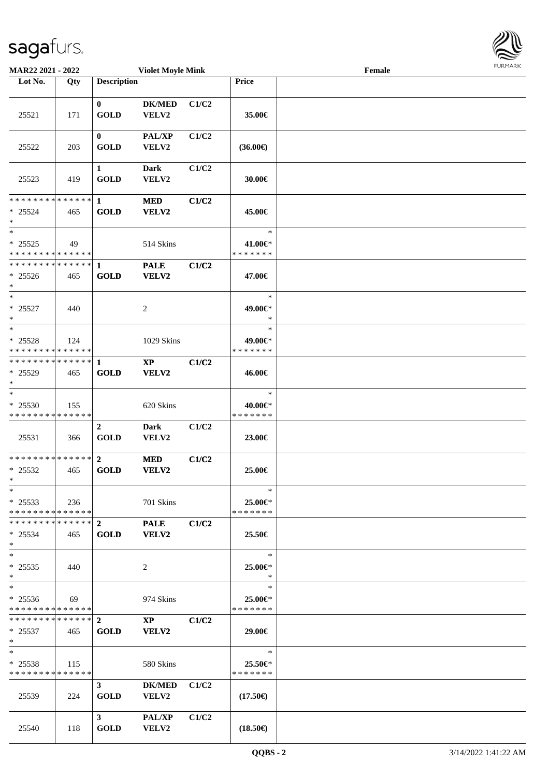| MAR22 2021 - 2022                                                            |     |                                 | <b>Violet Moyle Mink</b>               |       |                                    | Female | <b>FURPIARR</b> |
|------------------------------------------------------------------------------|-----|---------------------------------|----------------------------------------|-------|------------------------------------|--------|-----------------|
| Lot No.                                                                      | Qty | <b>Description</b>              |                                        |       | Price                              |        |                 |
|                                                                              |     |                                 |                                        |       |                                    |        |                 |
| 25521                                                                        | 171 | $\bf{0}$<br><b>GOLD</b>         | <b>DK/MED</b><br>VELV2                 | C1/C2 | 35.00€                             |        |                 |
| 25522                                                                        | 203 | $\mathbf{0}$<br><b>GOLD</b>     | <b>PAL/XP</b><br>VELV2                 | C1/C2 | $(36.00\epsilon)$                  |        |                 |
| 25523                                                                        | 419 | $\mathbf{1}$<br><b>GOLD</b>     | <b>Dark</b><br>VELV2                   | C1/C2 | 30.00€                             |        |                 |
| $* 25524$<br>$\ast$                                                          | 465 | <b>GOLD</b>                     | <b>MED</b><br>VELV2                    | C1/C2 | 45.00€                             |        |                 |
| $\overline{\ast}$<br>$* 25525$<br>* * * * * * * * <mark>* * * * * * *</mark> | 49  |                                 | 514 Skins                              |       | $\ast$<br>41.00€*<br>* * * * * * * |        |                 |
| * * * * * * * * <mark>* * * * * * *</mark><br>$* 25526$<br>$*$               | 465 | $\mathbf{1}$<br><b>GOLD</b>     | <b>PALE</b><br><b>VELV2</b>            | C1/C2 | 47.00€                             |        |                 |
| $*$<br>$* 25527$<br>$\ast$                                                   | 440 |                                 | $\overline{c}$                         |       | $\ast$<br>49.00€*<br>$\ast$        |        |                 |
| $*$<br>$* 25528$<br>* * * * * * * * * * * * * *                              | 124 |                                 | 1029 Skins                             |       | $\ast$<br>49.00€*<br>* * * * * * * |        |                 |
| * * * * * * * * <mark>* * * * * * *</mark><br>* 25529<br>$*$                 | 465 | $\mathbf{1}$<br><b>GOLD</b>     | $\mathbf{X}\mathbf{P}$<br><b>VELV2</b> | C1/C2 | 46.00€                             |        |                 |
| $\ast$<br>* 25530<br>* * * * * * * * * * * * * *                             | 155 |                                 | 620 Skins                              |       | $\ast$<br>40.00€*<br>* * * * * * * |        |                 |
| 25531                                                                        | 366 | $\boldsymbol{2}$<br><b>GOLD</b> | <b>Dark</b><br>VELV2                   | C1/C2 | 23.00€                             |        |                 |
| * * * * * * * * * * * * * *<br>$* 25532$<br>$*$                              | 465 | $\overline{2}$<br><b>GOLD</b>   | <b>MED</b><br><b>VELV2</b>             | C1/C2 | 25.00€                             |        |                 |
| $\ast$<br>$* 25533$<br>* * * * * * * * * * * * * * *                         | 236 |                                 | 701 Skins                              |       | $\ast$<br>25.00€*<br>* * * * * * * |        |                 |
| $* 25534$<br>$\ast$                                                          | 465 | <b>GOLD</b>                     | <b>PALE</b><br><b>VELV2</b>            | C1/C2 | 25.50€                             |        |                 |
| $*$<br>$* 25535$<br>$\ast$                                                   | 440 |                                 | 2                                      |       | $\ast$<br>25.00€*<br>$\ast$        |        |                 |
| $*$<br>$* 25536$<br>* * * * * * * * * * * * * * *                            | 69  |                                 | 974 Skins                              |       | $\ast$<br>25.00€*<br>* * * * * * * |        |                 |
| $* 25537$<br>$*$                                                             | 465 | <b>GOLD</b>                     | $\mathbf{X}\mathbf{P}$<br><b>VELV2</b> | C1/C2 | 29.00€                             |        |                 |
| $*$<br>$* 25538$<br>* * * * * * * * * * * * * *                              | 115 |                                 | 580 Skins                              |       | $\ast$<br>25.50€*<br>* * * * * * * |        |                 |
| 25539                                                                        | 224 | 3 <sup>7</sup><br><b>GOLD</b>   | DK/MED C1/C2<br><b>VELV2</b>           |       | $(17.50\epsilon)$                  |        |                 |
| 25540                                                                        | 118 | $3^{\circ}$<br><b>GOLD</b>      | <b>PAL/XP</b><br>VELV2                 | C1/C2 | $(18.50\epsilon)$                  |        |                 |

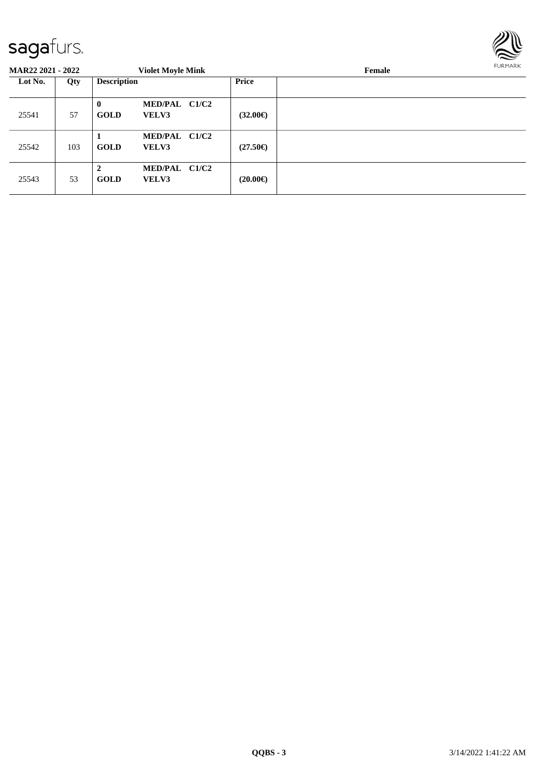

| <b>MAR22 2021 - 2022</b> |     |                             | <b>Violet Moyle Mink</b>      |                   | Female | <b>FURMARK</b> |
|--------------------------|-----|-----------------------------|-------------------------------|-------------------|--------|----------------|
| Lot No.                  | Qty | <b>Description</b>          |                               | Price             |        |                |
| 25541                    | 57  | $\mathbf{0}$<br><b>GOLD</b> | MED/PAL C1/C2<br><b>VELV3</b> | $(32.00\epsilon)$ |        |                |
| 25542                    | 103 | <b>GOLD</b>                 | MED/PAL C1/C2<br><b>VELV3</b> | $(27.50\epsilon)$ |        |                |
| 25543                    | 53  | $\mathbf{2}$<br><b>GOLD</b> | MED/PAL C1/C2<br><b>VELV3</b> | $(20.00\epsilon)$ |        |                |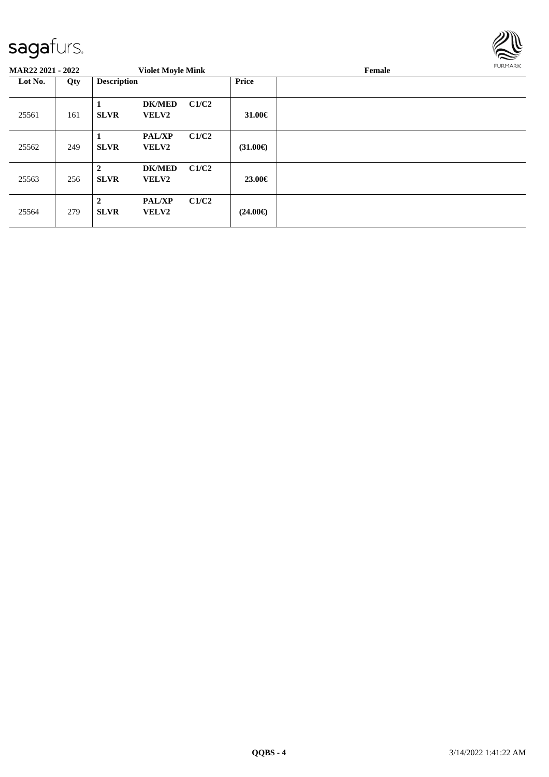

| <b>MAR22 2021 - 2022</b> |     |                                 | <b>Violet Moyle Mink</b>      |       |                   | Female | <b>FURMARK</b> |
|--------------------------|-----|---------------------------------|-------------------------------|-------|-------------------|--------|----------------|
| Lot No.                  | Qty | <b>Description</b>              |                               |       | <b>Price</b>      |        |                |
| 25561                    | 161 | 1<br><b>SLVR</b>                | <b>DK/MED</b><br>VELV2        | C1/C2 | 31.00 $\in$       |        |                |
| 25562                    | 249 | 1<br><b>SLVR</b>                | <b>PAL/XP</b><br><b>VELV2</b> | C1/C2 | $(31.00\epsilon)$ |        |                |
| 25563                    | 256 | $\overline{2}$<br><b>SLVR</b>   | <b>DK/MED</b><br><b>VELV2</b> | C1/C2 | 23.00€            |        |                |
| 25564                    | 279 | $\boldsymbol{2}$<br><b>SLVR</b> | <b>PAL/XP</b><br><b>VELV2</b> | C1/C2 | $(24.00\epsilon)$ |        |                |